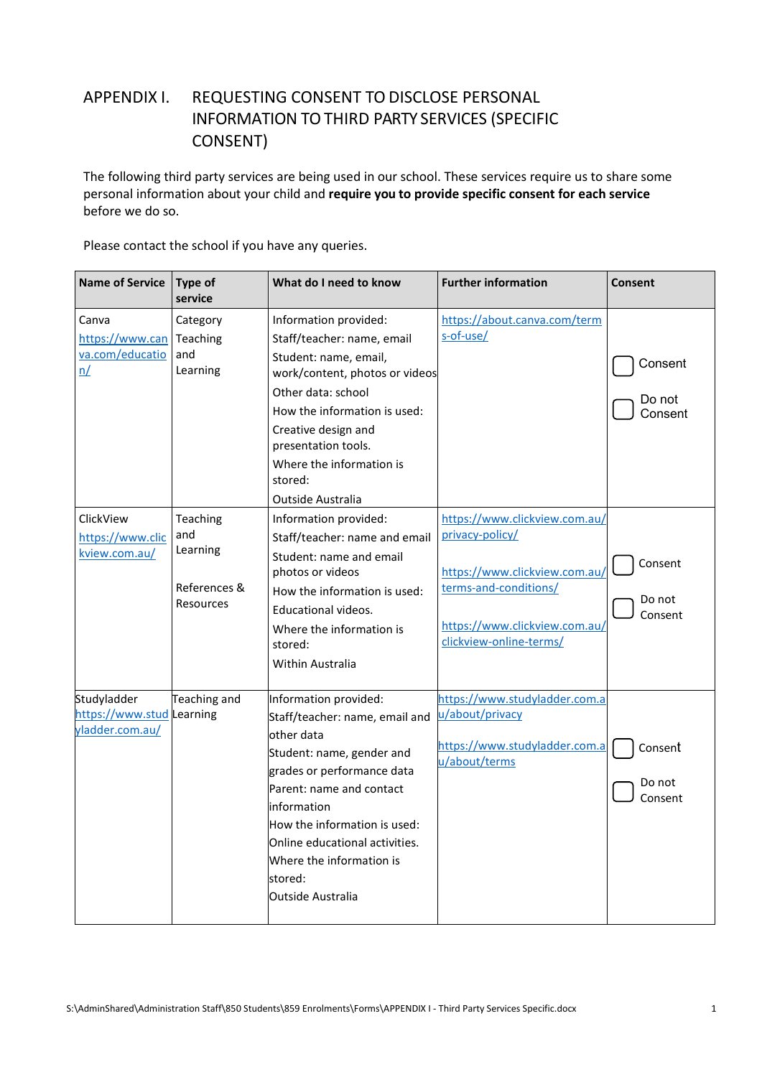## APPENDIX I. REQUESTING CONSENT TO DISCLOSE PERSONAL INFORMATION TO THIRD PARTY SERVICES (SPECIFIC CONSENT)

The following third party services are being used in our school. These services require us to share some personal information about your child and **require you to provide specific consent for each service**  before we do so.

Please contact the school if you have any queries.

| <b>Name of Service</b>                                      | <b>Type of</b><br>service                                | What do I need to know                                                                                                                                                                                                                                                                                    | <b>Further information</b>                                                                                                                                             | Consent                      |
|-------------------------------------------------------------|----------------------------------------------------------|-----------------------------------------------------------------------------------------------------------------------------------------------------------------------------------------------------------------------------------------------------------------------------------------------------------|------------------------------------------------------------------------------------------------------------------------------------------------------------------------|------------------------------|
| Canva<br>https://www.can Teaching<br>va.com/educatio<br>n/  | Category<br>and<br>Learning                              | Information provided:<br>Staff/teacher: name, email<br>Student: name, email,<br>work/content, photos or videos<br>Other data: school<br>How the information is used:<br>Creative design and<br>presentation tools.<br>Where the information is<br>stored:<br>Outside Australia                            | https://about.canva.com/term<br>s-of-use/                                                                                                                              | Consent<br>Do not<br>Consent |
| ClickView<br>https://www.clic<br>kview.com.au/              | Teaching<br>and<br>Learning<br>References &<br>Resources | Information provided:<br>Staff/teacher: name and email<br>Student: name and email<br>photos or videos<br>How the information is used:<br>Educational videos.<br>Where the information is<br>stored:<br>Within Australia                                                                                   | https://www.clickview.com.au/<br>privacy-policy/<br>https://www.clickview.com.au/<br>terms-and-conditions/<br>https://www.clickview.com.au/<br>clickview-online-terms/ | Consent<br>Do not<br>Consent |
| Studyladder<br>https://www.stud Learning<br>yladder.com.au/ | Teaching and                                             | Information provided:<br>Staff/teacher: name, email and<br>other data<br>Student: name, gender and<br>grades or performance data<br>Parent: name and contact<br>information<br>How the information is used:<br>Online educational activities.<br>Where the information is<br>stored:<br>Outside Australia | https://www.studyladder.com.a<br>u/about/privacy<br>https://www.studyladder.com.a<br>u/about/terms                                                                     | Consent<br>Do not<br>Consent |